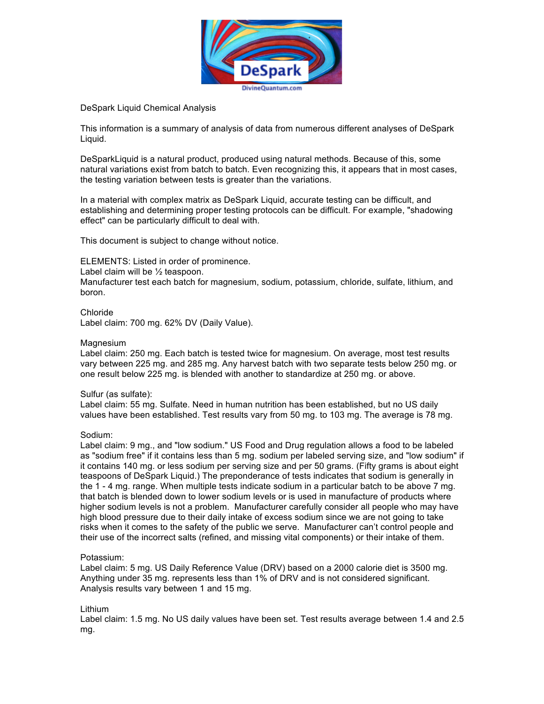

DeSpark Liquid Chemical Analysis

This information is a summary of analysis of data from numerous different analyses of DeSpark Liquid.

DeSparkLiquid is a natural product, produced using natural methods. Because of this, some natural variations exist from batch to batch. Even recognizing this, it appears that in most cases, the testing variation between tests is greater than the variations.

In a material with complex matrix as DeSpark Liquid, accurate testing can be difficult, and establishing and determining proper testing protocols can be difficult. For example, "shadowing effect" can be particularly difficult to deal with.

This document is subject to change without notice.

ELEMENTS: Listed in order of prominence.

Label claim will be ½ teaspoon.

Manufacturer test each batch for magnesium, sodium, potassium, chloride, sulfate, lithium, and boron.

Chloride Label claim: 700 mg. 62% DV (Daily Value).

# **Magnesium**

Label claim: 250 mg. Each batch is tested twice for magnesium. On average, most test results vary between 225 mg. and 285 mg. Any harvest batch with two separate tests below 250 mg. or one result below 225 mg. is blended with another to standardize at 250 mg. or above.

# Sulfur (as sulfate):

Label claim: 55 mg. Sulfate. Need in human nutrition has been established, but no US daily values have been established. Test results vary from 50 mg. to 103 mg. The average is 78 mg.

# Sodium:

Label claim: 9 mg., and "low sodium." US Food and Drug regulation allows a food to be labeled as "sodium free" if it contains less than 5 mg. sodium per labeled serving size, and "low sodium" if it contains 140 mg. or less sodium per serving size and per 50 grams. (Fifty grams is about eight teaspoons of DeSpark Liquid.) The preponderance of tests indicates that sodium is generally in the 1 - 4 mg. range. When multiple tests indicate sodium in a particular batch to be above 7 mg. that batch is blended down to lower sodium levels or is used in manufacture of products where higher sodium levels is not a problem. Manufacturer carefully consider all people who may have high blood pressure due to their daily intake of excess sodium since we are not going to take risks when it comes to the safety of the public we serve. Manufacturer can't control people and their use of the incorrect salts (refined, and missing vital components) or their intake of them.

# Potassium:

Label claim: 5 mg. US Daily Reference Value (DRV) based on a 2000 calorie diet is 3500 mg. Anything under 35 mg. represents less than 1% of DRV and is not considered significant. Analysis results vary between 1 and 15 mg.

# Lithium

Label claim: 1.5 mg. No US daily values have been set. Test results average between 1.4 and 2.5 mg.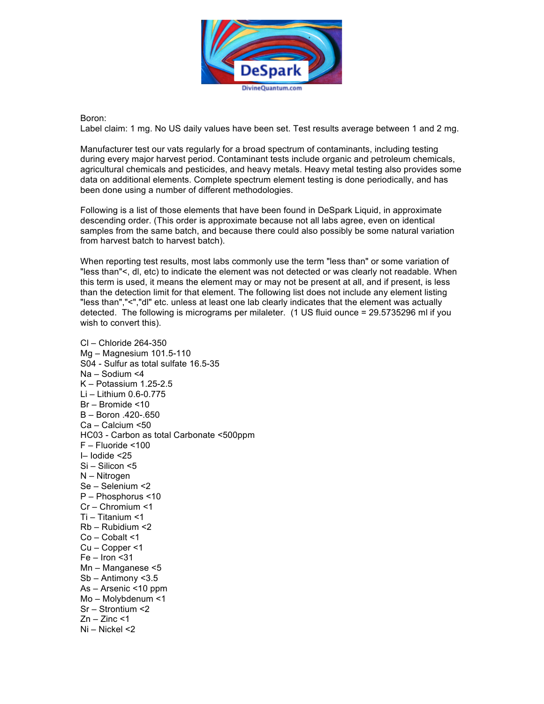

Boron:

Label claim: 1 mg. No US daily values have been set. Test results average between 1 and 2 mg.

Manufacturer test our vats regularly for a broad spectrum of contaminants, including testing during every major harvest period. Contaminant tests include organic and petroleum chemicals, agricultural chemicals and pesticides, and heavy metals. Heavy metal testing also provides some data on additional elements. Complete spectrum element testing is done periodically, and has been done using a number of different methodologies.

Following is a list of those elements that have been found in DeSpark Liquid, in approximate descending order. (This order is approximate because not all labs agree, even on identical samples from the same batch, and because there could also possibly be some natural variation from harvest batch to harvest batch).

When reporting test results, most labs commonly use the term "less than" or some variation of "less than"<, dl, etc) to indicate the element was not detected or was clearly not readable. When this term is used, it means the element may or may not be present at all, and if present, is less than the detection limit for that element. The following list does not include any element listing "less than","<","dl" etc. unless at least one lab clearly indicates that the element was actually detected. The following is micrograms per milaleter. (1 US fluid ounce = 29.5735296 ml if you wish to convert this).

Cl – Chloride 264-350 Mg – Magnesium 101.5-110 S04 - Sulfur as total sulfate 16.5-35 Na – Sodium <4 K – Potassium 1.25-2.5 Li – Lithium 0.6-0.775 Br – Bromide <10 B – Boron .420-.650 Ca – Calcium <50 HC03 - Carbon as total Carbonate <500ppm F – Fluoride <100 I– Iodide <25 Si – Silicon <5 N – Nitrogen Se – Selenium <2 P – Phosphorus <10 Cr – Chromium <1 Ti – Titanium <1 Rb – Rubidium <2 Co – Cobalt <1 Cu – Copper <1  $Fe - Iron < 31$ Mn – Manganese <5 Sb – Antimony <3.5 As – Arsenic <10 ppm Mo – Molybdenum <1 Sr – Strontium <2  $Zn - Zinc < 1$ Ni – Nickel <2